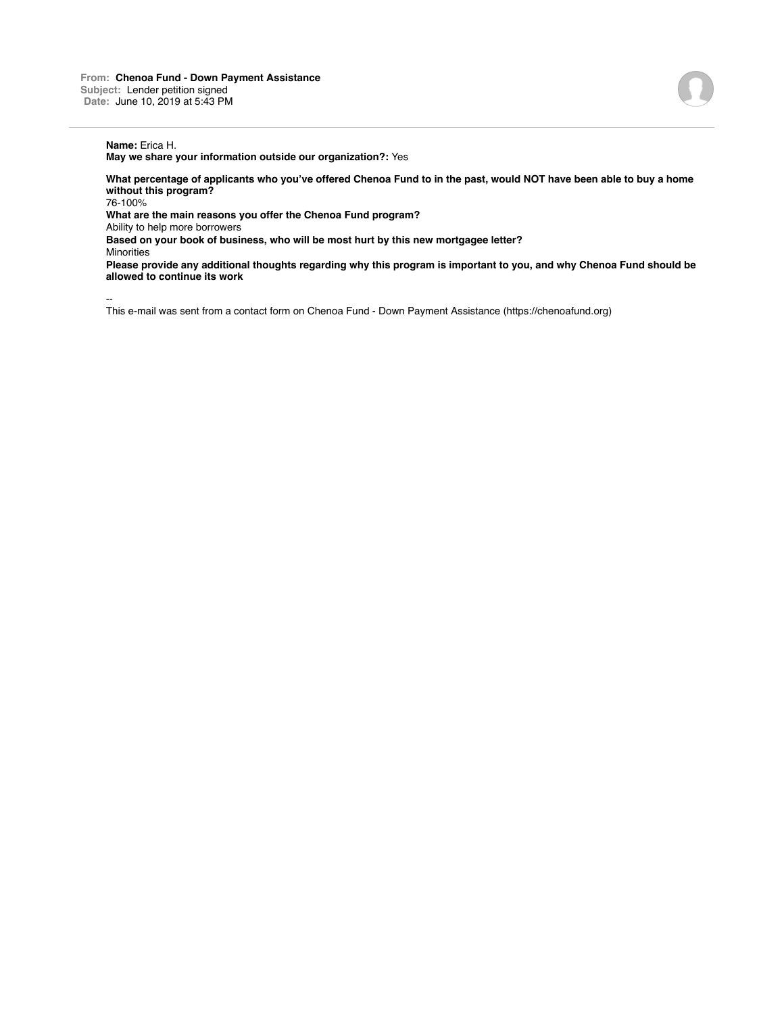## **Name:** Erica H.

**May we share your information outside our organization?:** Yes

**What percentage of applicants who you've offered Chenoa Fund to in the past, would NOT have been able to buy a home without this program?**

76-100%

**What are the main reasons you offer the Chenoa Fund program?**

Ability to help more borrowers

**Based on your book of business, who will be most hurt by this new mortgagee letter?**

**Minorities** 

**Please provide any additional thoughts regarding why this program is important to you, and why Chenoa Fund should be allowed to continue its work**

--

This e-mail was sent from a contact form on Chenoa Fund - Down Payment Assistance (https://chenoafund.org)